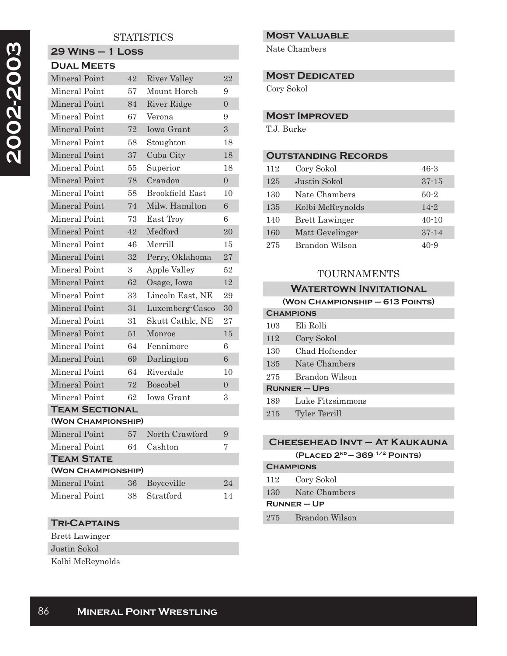# **2002-2003**  2002-2003

## **STATISTICS**

# **29 Wins – 1 Loss Dual Meets** Mineral Point 42 River Valley 22 Mineral Point 57 Mount Horeb 9 Mineral Point 84 River Ridge 0 Mineral Point 67 Verona 9 Mineral Point 72 Iowa Grant 3 Mineral Point 58 Stoughton 18

| <b>Mineral Point</b>  | 37 | Cuba City              | 18             |
|-----------------------|----|------------------------|----------------|
| Mineral Point         | 55 | Superior               | 18             |
| Mineral Point         | 78 | Crandon                | $\overline{0}$ |
| Mineral Point         | 58 | <b>Brookfield East</b> | 10             |
| Mineral Point         | 74 | Milw. Hamilton         | 6              |
| Mineral Point         | 73 | East Troy              | 6              |
| Mineral Point         | 42 | Medford                | 20             |
| Mineral Point         | 46 | Merrill                | 15             |
| Mineral Point         | 32 | Perry, Oklahoma        | 27             |
| Mineral Point         | 3  | Apple Valley           | 52             |
| Mineral Point         | 62 | Osage, Iowa            | 12             |
| Mineral Point         | 33 | Lincoln East, NE       | 29             |
| Mineral Point         | 31 | Luxemberg-Casco        | 30             |
| Mineral Point         | 31 | Skutt Cathlc, NE       | 27             |
| Mineral Point         | 51 | Monroe                 | 15             |
| Mineral Point         | 64 | Fennimore              | 6              |
| Mineral Point         | 69 | Darlington             | $\overline{6}$ |
| Mineral Point         | 64 | Riverdale              | 10             |
| Mineral Point         | 72 | <b>Boscobel</b>        | $\overline{0}$ |
| Mineral Point         | 62 | Iowa Grant             | 3              |
| <b>TEAM SECTIONAL</b> |    |                        |                |
| (WON CHAMPIONSHIP)    |    |                        |                |
| Mineral Point         | 57 | North Crawford         | 9              |
| Mineral Point         | 64 | Cashton                | 7              |
| <b>TEAM STATE</b>     |    |                        |                |
| (WON CHAMPIONSHIP)    |    |                        |                |
| Mineral Point         | 36 | Boyceville             | 24             |
| Mineral Point         | 38 | Stratford              | 14             |

#### **Tri-Captains**

Brett Lawinger Justin Sokol

Kolbi McReynolds

#### **Most Valuable**

Nate Chambers

#### **Most Dedicated**

Cory Sokol

#### **Most Improved**

T.J. Burke

### **Outstanding Records**

| 112 | Cory Sokol            | 46-3      |
|-----|-----------------------|-----------|
| 125 | Justin Sokol          | $37 - 15$ |
| 130 | Nate Chambers         | $50-2$    |
| 135 | Kolbi McReynolds      | $14 - 2$  |
| 140 | <b>Brett Lawinger</b> | $40 - 10$ |
| 160 | Matt Gevelinger       | $37 - 14$ |
| 275 | Brandon Wilson        | $40 - 9$  |

#### TOURNAMENTS

#### **Watertown Invitational**

**(Won Championship – 613 Points)**

| <b>CHAMPIONS</b>  |                  |
|-------------------|------------------|
| 103               | Eli Rolli        |
| 112               | Cory Sokol       |
| 130               | Chad Hoftender   |
| 135               | Nate Chambers    |
| 275               | Brandon Wilson   |
| <b>RUNNER-UPS</b> |                  |
| 189               | Luke Fitzsimmons |
| 215               | Tyler Terrill    |
|                   |                  |

# **Cheesehead Invt – At Kaukauna (Placed 2nd — 369 1/2 Points) Champions** 112 Cory Sokol 130 Nate Chambers

#### **Runner – Up**

275 Brandon Wilson